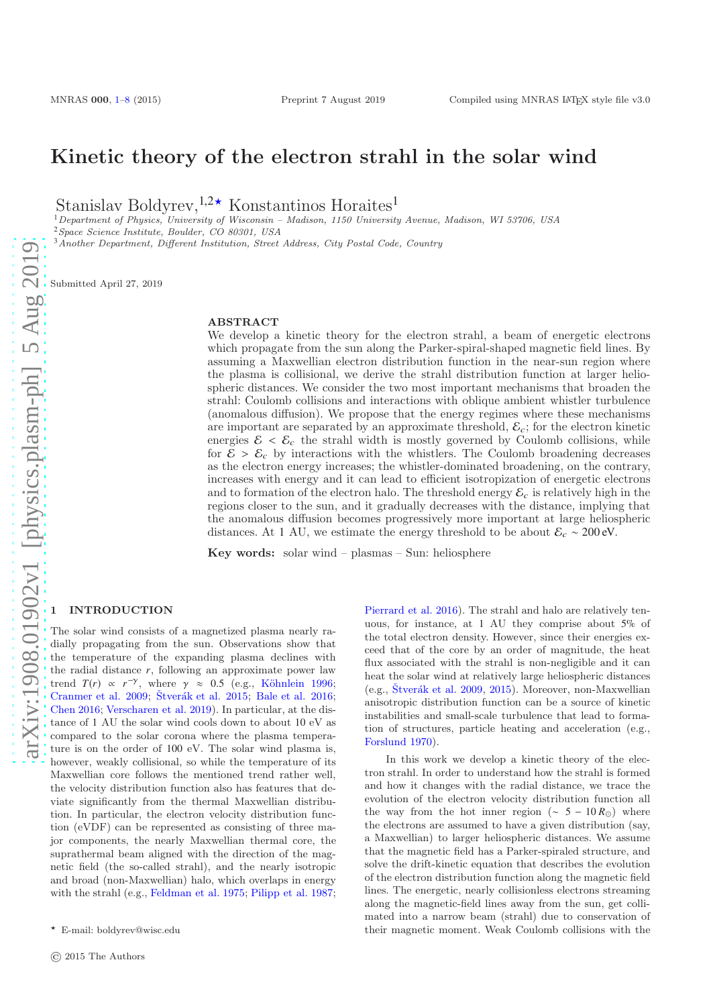# Kinetic theory of the electron strahl in the solar wind

Stanislav Boldyrev,<sup>1,2★</sup> Konstantinos Horaites<sup>1</sup>

<sup>1</sup>Department of Physics, University of Wisconsin – Madison, 1150 University Avenue, Madison, WI 53706, USA

<sup>2</sup>Space Science Institute, Boulder, CO 80301, USA

<sup>3</sup>Another Department, Different Institution, Street Address, City Postal Code, Country

Submitted April 27, 2019

#### ABSTRACT

We develop a kinetic theory for the electron strahl, a beam of energetic electrons which propagate from the sun along the Parker-spiral-shaped magnetic field lines. By assuming a Maxwellian electron distribution function in the near-sun region where the plasma is collisional, we derive the strahl distribution function at larger heliospheric distances. We consider the two most important mechanisms that broaden the strahl: Coulomb collisions and interactions with oblique ambient whistler turbulence (anomalous diffusion). We propose that the energy regimes where these mechanisms are important are separated by an approximate threshold,  $\mathcal{E}_c$ ; for the electron kinetic energies  $\mathcal{E} < \mathcal{E}_c$  the strahl width is mostly governed by Coulomb collisions, while for  $\mathcal{E} > \mathcal{E}_c$  by interactions with the whistlers. The Coulomb broadening decreases as the electron energy increases; the whistler-dominated broadening, on the contrary, increases with energy and it can lead to efficient isotropization of energetic electrons and to formation of the electron halo. The threshold energy  $\mathcal{E}_c$  is relatively high in the regions closer to the sun, and it gradually decreases with the distance, implying that the anomalous diffusion becomes progressively more important at large heliospheric distances. At 1 AU, we estimate the energy threshold to be about  $\mathcal{E}_c \sim 200 \text{ eV}$ .

Key words: solar wind – plasmas – Sun: heliosphere

#### <span id="page-0-0"></span>**INTRODUCTION**

The solar wind consists of a magnetized plasma nearly radially propagating from the sun. Observations show that the temperature of the expanding plasma declines with the radial distance *r*, following an approximate power law trend  $T(r) \propto r^{-\gamma}$ , where  $\gamma \approx 0.5$  (e.g., Köhnlein 1996; [Cranmer et al. 2009;](#page-7-1) Štverák et al. 2015; [Bale et al. 2016;](#page-6-1) [Chen 2016;](#page-7-3) [Verscharen et al. 2019](#page-7-4)). In particular, at the distance of 1 AU the solar wind cools down to about 10 eV as compared to the solar corona where the plasma temperature is on the order of 100 eV. The solar wind plasma is, however, weakly collisional, so while the temperature of its Maxwellian core follows the mentioned trend rather well, the velocity distribution function also has features that deviate significantly from the thermal Maxwellian distribution. In particular, the electron velocity distribution function (eVDF) can be represented as consisting of three major components, the nearly Maxwellian thermal core, the suprathermal beam aligned with the direction of the magnetic field (the so-called strahl), and the nearly isotropic and broad (non-Maxwellian) halo, which overlaps in energy with the strahl (e.g., [Feldman et al. 1975;](#page-7-5) [Pilipp et al. 1987;](#page-7-6)

[Pierrard et al. 2016](#page-7-7)). The strahl and halo are relatively tenuous, for instance, at 1 AU they comprise about 5% of the total electron density. However, since their energies exceed that of the core by an order of magnitude, the heat flux associated with the strahl is non-negligible and it can heat the solar wind at relatively large heliospheric distances (e.g.,  $\text{Stverák et al. } 2009, 2015$  $\text{Stverák et al. } 2009, 2015$ ). Moreover, non-Maxwellian anisotropic distribution function can be a source of kinetic instabilities and small-scale turbulence that lead to formation of structures, particle heating and acceleration (e.g., [Forslund 1970](#page-7-9)).

In this work we develop a kinetic theory of the electron strahl. In order to understand how the strahl is formed and how it changes with the radial distance, we trace the evolution of the electron velocity distribution function all the way from the hot inner region ( $\sim$  5 – 10  $R_{\odot}$ ) where the electrons are assumed to have a given distribution (say, a Maxwellian) to larger heliospheric distances. We assume that the magnetic field has a Parker-spiraled structure, and solve the drift-kinetic equation that describes the evolution of the electron distribution function along the magnetic field lines. The energetic, nearly collisionless electrons streaming along the magnetic-field lines away from the sun, get collimated into a narrow beam (strahl) due to conservation of their magnetic moment. Weak Coulomb collisions with the

<sup>⋆</sup> E-mail: boldyrev@wisc.edu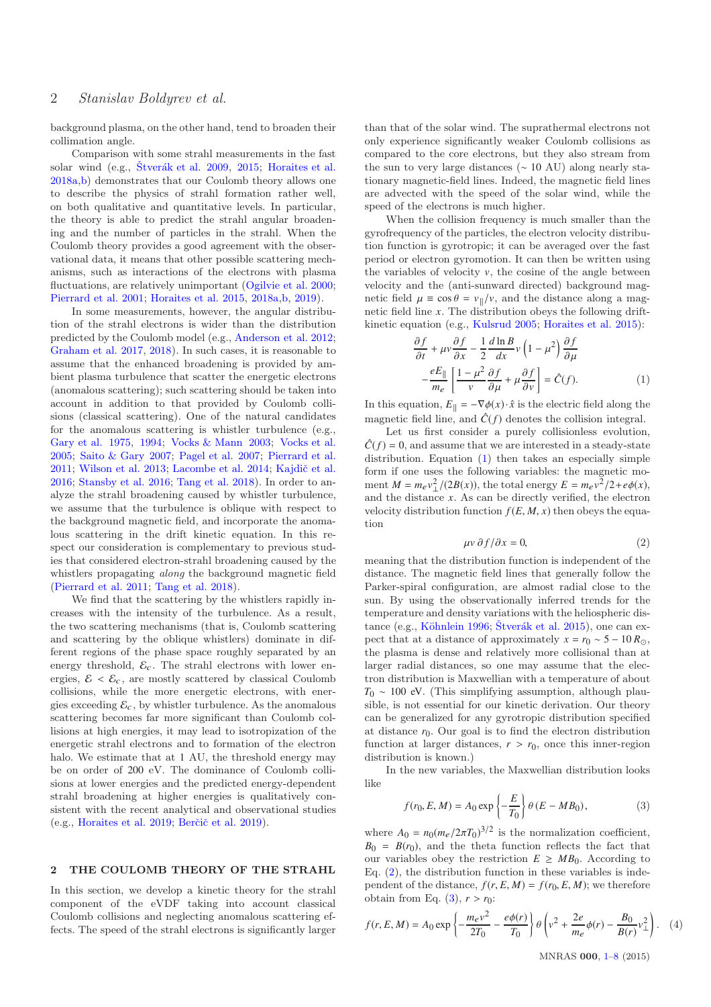background plasma, on the other hand, tend to broaden their collimation angle.

Comparison with some strahl measurements in the fast solar wind (e.g., Štverák et al. 2009, [2015;](#page-7-2) [Horaites et al.](#page-7-10) [2018a](#page-7-10)[,b\)](#page-7-11) demonstrates that our Coulomb theory allows one to describe the physics of strahl formation rather well, on both qualitative and quantitative levels. In particular, the theory is able to predict the strahl angular broadening and the number of particles in the strahl. When the Coulomb theory provides a good agreement with the observational data, it means that other possible scattering mechanisms, such as interactions of the electrons with plasma fluctuations, are relatively unimportant [\(Ogilvie et al. 2000;](#page-7-12) [Pierrard et al. 2001](#page-7-13); [Horaites et al. 2015,](#page-7-14) [2018a](#page-7-10)[,b,](#page-7-11) [2019](#page-7-15)).

In some measurements, however, the angular distribution of the strahl electrons is wider than the distribution predicted by the Coulomb model (e.g., [Anderson et al. 2012;](#page-6-2) [Graham et al. 2017,](#page-7-16) [2018](#page-7-17)). In such cases, it is reasonable to assume that the enhanced broadening is provided by ambient plasma turbulence that scatter the energetic electrons (anomalous scattering); such scattering should be taken into account in addition to that provided by Coulomb collisions (classical scattering). One of the natural candidates for the anomalous scattering is whistler turbulence (e.g., [Gary et al. 1975](#page-7-18), [1994](#page-7-19); [Vocks & Mann 2003;](#page-7-20) [Vocks et al.](#page-7-21) [2005](#page-7-21); [Saito & Gary 2007](#page-7-22); [Pagel et al. 2007;](#page-7-23) [Pierrard et al.](#page-7-24) [2011](#page-7-24); [Wilson et al. 2013;](#page-7-25) [Lacombe et al. 2014](#page-7-26); Kajdič et al. [2016](#page-7-27); [Stansby et al. 2016](#page-7-28); [Tang et al. 2018](#page-7-29)). In order to analyze the strahl broadening caused by whistler turbulence, we assume that the turbulence is oblique with respect to the background magnetic field, and incorporate the anomalous scattering in the drift kinetic equation. In this respect our consideration is complementary to previous studies that considered electron-strahl broadening caused by the whistlers propagating *along* the background magnetic field [\(Pierrard et al. 2011](#page-7-24); [Tang et al. 2018\)](#page-7-29).

We find that the scattering by the whistlers rapidly increases with the intensity of the turbulence. As a result, the two scattering mechanisms (that is, Coulomb scattering and scattering by the oblique whistlers) dominate in different regions of the phase space roughly separated by an energy threshold,  $\mathcal{E}_c$ . The strahl electrons with lower energies,  $\mathcal{E} < \mathcal{E}_c$ , are mostly scattered by classical Coulomb collisions, while the more energetic electrons, with energies exceeding  $\mathcal{E}_c$ , by whistler turbulence. As the anomalous scattering becomes far more significant than Coulomb collisions at high energies, it may lead to isotropization of the energetic strahl electrons and to formation of the electron halo. We estimate that at 1 AU, the threshold energy may be on order of 200 eV. The dominance of Coulomb collisions at lower energies and the predicted energy-dependent strahl broadening at higher energies is qualitatively consistent with the recent analytical and observational studies (e.g., [Horaites et al. 2019;](#page-7-15) Berčič et al. 2019).

### 2 THE COULOMB THEORY OF THE STRAHL

In this section, we develop a kinetic theory for the strahl component of the eVDF taking into account classical Coulomb collisions and neglecting anomalous scattering effects. The speed of the strahl electrons is significantly larger than that of the solar wind. The suprathermal electrons not only experience significantly weaker Coulomb collisions as compared to the core electrons, but they also stream from the sun to very large distances (∼ 10 AU) along nearly stationary magnetic-field lines. Indeed, the magnetic field lines are advected with the speed of the solar wind, while the speed of the electrons is much higher.

When the collision frequency is much smaller than the gyrofrequency of the particles, the electron velocity distribution function is gyrotropic; it can be averaged over the fast period or electron gyromotion. It can then be written using the variables of velocity  $\nu$ , the cosine of the angle between velocity and the (anti-sunward directed) background magnetic field  $\mu \equiv \cos \theta = v_{\parallel}/v$ , and the distance along a magnetic field line *x*. The distribution obeys the following driftkinetic equation (e.g., [Kulsrud 2005](#page-7-30); [Horaites et al. 2015](#page-7-14)):

<span id="page-1-0"></span>
$$
\frac{\partial f}{\partial t} + \mu v \frac{\partial f}{\partial x} - \frac{1}{2} \frac{d \ln B}{dx} v \left( 1 - \mu^2 \right) \frac{\partial f}{\partial \mu}
$$

$$
- \frac{eE_{\parallel}}{m_e} \left[ \frac{1 - \mu^2}{v} \frac{\partial f}{\partial \mu} + \mu \frac{\partial f}{\partial v} \right] = \hat{C}(f). \tag{1}
$$

In this equation,  $E_{\parallel} = -\nabla \phi(x) \cdot \hat{x}$  is the electric field along the magnetic field line, and  $\hat{C}(f)$  denotes the collision integral.

Let us first consider a purely collisionless evolution,  $\hat{C}(f) = 0$ , and assume that we are interested in a steady-state distribution. Equation [\(1\)](#page-1-0) then takes an especially simple form if one uses the following variables: the magnetic moment  $M = m_e v_\perp^2 / (2B(x))$ , the total energy  $E = m_e v^2 / 2 + e\phi(x)$ , and the distance *x*. As can be directly verified, the electron velocity distribution function  $f(E, M, x)$  then obeys the equation

<span id="page-1-1"></span>
$$
\mu v \partial f / \partial x = 0, \tag{2}
$$

meaning that the distribution function is independent of the distance. The magnetic field lines that generally follow the Parker-spiral configuration, are almost radial close to the sun. By using the observationally inferred trends for the temperature and density variations with the heliospheric distance (e.g., Köhnlein 1996; Štverák et al. 2015), one can expect that at a distance of approximately  $x = r_0 \sim 5 - 10 R_{\odot}$ , the plasma is dense and relatively more collisional than at larger radial distances, so one may assume that the electron distribution is Maxwellian with a temperature of about  $T_0 \sim 100$  eV. (This simplifying assumption, although plausible, is not essential for our kinetic derivation. Our theory can be generalized for any gyrotropic distribution specified at distance  $r_0$ . Our goal is to find the electron distribution function at larger distances,  $r > r_0$ , once this inner-region distribution is known.)

In the new variables, the Maxwellian distribution looks like

<span id="page-1-2"></span>
$$
f(r_0, E, M) = A_0 \exp\left\{-\frac{E}{T_0}\right\} \theta (E - MB_0),
$$
 (3)

where  $A_0 = n_0 (m_e / 2\pi T_0)^{3/2}$  is the normalization coefficient,  $B_0 = B(r_0)$ , and the theta function reflects the fact that our variables obey the restriction  $E \geq MB_0$ . According to Eq.  $(2)$ , the distribution function in these variables is independent of the distance,  $f(r, E, M) = f(r_0, E, M)$ ; we therefore obtain from Eq.  $(3)$ ,  $r > r_0$ :

<span id="page-1-3"></span>
$$
f(r, E, M) = A_0 \exp\left\{-\frac{m_e v^2}{2T_0} - \frac{e\phi(r)}{T_0}\right\} \theta\left(v^2 + \frac{2e}{m_e}\phi(r) - \frac{B_0}{B(r)}v_\perp^2\right). \tag{4}
$$

MNRAS 000, [1](#page-0-0)[–8](#page-6-0) (2015)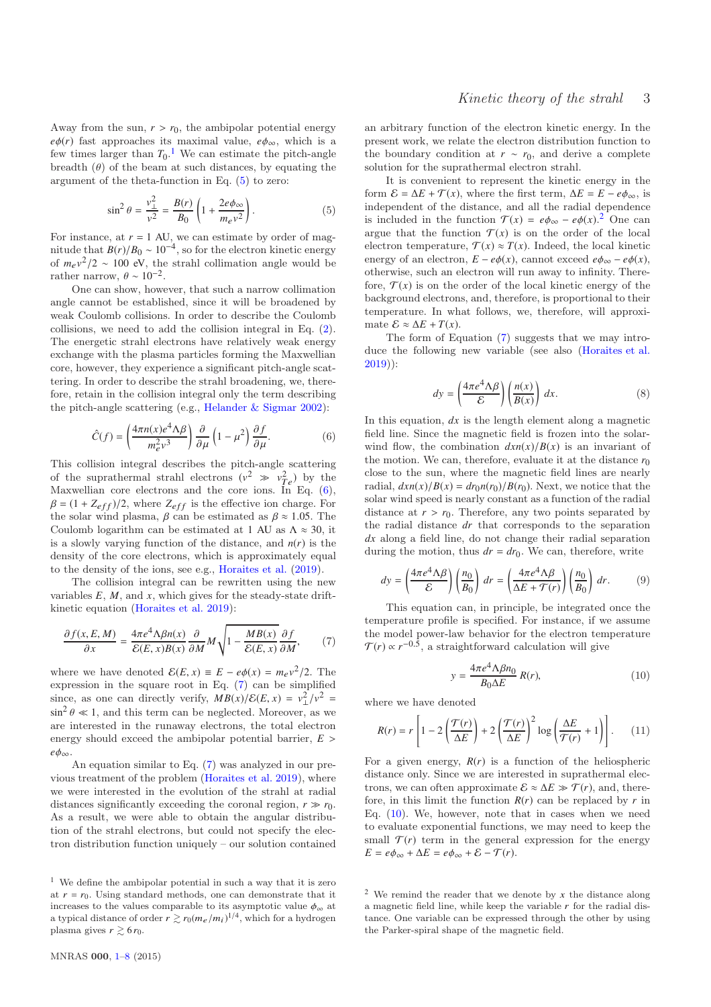Away from the sun,  $r > r_0$ , the ambipolar potential energy  $e\phi(r)$  fast approaches its maximal value,  $e\phi_{\infty}$ , which is a few times larger than  $T_0$ .<sup>[1](#page-2-0)</sup> We can estimate the pitch-angle breadth  $(\theta)$  of the beam at such distances, by equating the argument of the theta-function in Eq. [\(5\)](#page-2-1) to zero:

<span id="page-2-1"></span>
$$
\sin^2 \theta = \frac{v_{\perp}^2}{v^2} = \frac{B(r)}{B_0} \left( 1 + \frac{2e\phi_{\infty}}{m_e v^2} \right). \tag{5}
$$

For instance, at  $r = 1$  AU, we can estimate by order of magnitude that  $B(r)/B_0 \sim 10^{-4}$ , so for the electron kinetic energy of  $m_e v^2/2 \sim 100$  eV, the strahl collimation angle would be rather narrow,  $\theta \sim 10^{-2}$ .

One can show, however, that such a narrow collimation angle cannot be established, since it will be broadened by weak Coulomb collisions. In order to describe the Coulomb collisions, we need to add the collision integral in Eq. [\(2\)](#page-1-1). The energetic strahl electrons have relatively weak energy exchange with the plasma particles forming the Maxwellian core, however, they experience a significant pitch-angle scattering. In order to describe the strahl broadening, we, therefore, retain in the collision integral only the term describing the pitch-angle scattering (e.g., [Helander & Sigmar 2002\)](#page-7-31):

<span id="page-2-2"></span>
$$
\hat{C}(f) = \left(\frac{4\pi n(x)e^4\Lambda\beta}{m_e^2 v^3}\right)\frac{\partial}{\partial \mu}\left(1-\mu^2\right)\frac{\partial f}{\partial \mu}.\tag{6}
$$

This collision integral describes the pitch-angle scattering of the suprathermal strahl electrons  $(v^2 \gg v_{Te}^2)$  by the Maxwellian core electrons and the core ions. In Eq.  $(6)$ ,  $\beta = (1 + Z_{eff})/2$ , where  $Z_{eff}$  is the effective ion charge. For the solar wind plasma,  $\beta$  can be estimated as  $\beta \approx 1.05$ . The Coulomb logarithm can be estimated at 1 AU as  $\Lambda \approx 30$ , it is a slowly varying function of the distance, and  $n(r)$  is the density of the core electrons, which is approximately equal to the density of the ions, see e.g., [Horaites et al.](#page-7-15) [\(2019](#page-7-15)).

The collision integral can be rewritten using the new variables *E*, *M*, and *x*, which gives for the steady-state driftkinetic equation [\(Horaites et al. 2019\)](#page-7-15):

<span id="page-2-3"></span>
$$
\frac{\partial f(x, E, M)}{\partial x} = \frac{4\pi e^4 \Lambda \beta n(x)}{\mathcal{E}(E, x)B(x)} \frac{\partial}{\partial M} M \sqrt{1 - \frac{MB(x)}{\mathcal{E}(E, x)} \frac{\partial f}{\partial M}},\tag{7}
$$

where we have denoted  $\mathcal{E}(E, x) \equiv E - e\phi(x) = m_e v^2/2$ . The expression in the square root in Eq. [\(7\)](#page-2-3) can be simplified since, as one can directly verify,  $MB(x)/\mathcal{E}(E, x) = v_{\perp}^2/v^2$  $\sin^2 \theta \ll 1$ , and this term can be neglected. Moreover, as we are interested in the runaway electrons, the total electron energy should exceed the ambipolar potential barrier, *E* >  $e\phi_{\infty}$ 

An equation similar to Eq. [\(7\)](#page-2-3) was analyzed in our previous treatment of the problem [\(Horaites et al. 2019](#page-7-15)), where we were interested in the evolution of the strahl at radial distances significantly exceeding the coronal region,  $r \gg r_0$ . As a result, we were able to obtain the angular distribution of the strahl electrons, but could not specify the electron distribution function uniquely – our solution contained an arbitrary function of the electron kinetic energy. In the present work, we relate the electron distribution function to the boundary condition at  $r \sim r_0$ , and derive a complete solution for the suprathermal electron strahl.

It is convenient to represent the kinetic energy in the form  $\mathcal{E} = \Delta E + \mathcal{T}(x)$ , where the first term,  $\Delta E = E - e\phi_{\infty}$ , is independent of the distance, and all the radial dependence is included in the function  $\mathcal{T}(x) = e\phi_{\infty} - e\phi(x)$ .<sup>[2](#page-2-4)</sup> One can argue that the function  $\mathcal{T}(x)$  is on the order of the local electron temperature,  $\mathcal{T}(x) \approx T(x)$ . Indeed, the local kinetic energy of an electron,  $E - e\phi(x)$ , cannot exceed  $e\phi_{\infty} - e\phi(x)$ , otherwise, such an electron will run away to infinity. Therefore,  $\mathcal{T}(x)$  is on the order of the local kinetic energy of the background electrons, and, therefore, is proportional to their temperature. In what follows, we, therefore, will approximate  $\mathcal{E} \approx \Delta E + T(x)$ .

The form of Equation [\(7\)](#page-2-3) suggests that we may introduce the following new variable (see also [\(Horaites et al.](#page-7-15) [2019](#page-7-15))):

$$
dy = \left(\frac{4\pi e^4 \Lambda \beta}{\mathcal{E}}\right) \left(\frac{n(x)}{B(x)}\right) dx.
$$
 (8)

In this equation,  $dx$  is the length element along a magnetic field line. Since the magnetic field is frozen into the solarwind flow, the combination  $dxn(x)/B(x)$  is an invariant of the motion. We can, therefore, evaluate it at the distance  $r_0$ close to the sun, where the magnetic field lines are nearly radial,  $dxn(x)/B(x) = dr_0n(r_0)/B(r_0)$ . Next, we notice that the solar wind speed is nearly constant as a function of the radial distance at  $r > r_0$ . Therefore, any two points separated by the radial distance *dr* that corresponds to the separation *dx* along a field line, do not change their radial separation during the motion, thus  $dr = dr_0$ . We can, therefore, write

$$
dy = \left(\frac{4\pi e^4 \Lambda \beta}{\mathcal{E}}\right) \left(\frac{n_0}{B_0}\right) dr = \left(\frac{4\pi e^4 \Lambda \beta}{\Delta E + \mathcal{T}(r)}\right) \left(\frac{n_0}{B_0}\right) dr.
$$
 (9)

This equation can, in principle, be integrated once the temperature profile is specified. For instance, if we assume the model power-law behavior for the electron temperature  $\mathcal{T}(r) \propto r^{-0.5}$ , a straightforward calculation will give

<span id="page-2-5"></span>
$$
y = \frac{4\pi e^4 \Lambda \beta n_0}{B_0 \Delta E} R(r),\tag{10}
$$

where we have denoted

<span id="page-2-6"></span>
$$
R(r) = r \left[ 1 - 2 \left( \frac{\mathcal{T}(r)}{\Delta E} \right) + 2 \left( \frac{\mathcal{T}(r)}{\Delta E} \right)^2 \log \left( \frac{\Delta E}{\mathcal{T}(r)} + 1 \right) \right].
$$
 (11)

For a given energy,  $R(r)$  is a function of the heliospheric distance only. Since we are interested in suprathermal electrons, we can often approximate  $\mathcal{E} \approx \Delta E \gg \mathcal{T}(r)$ , and, therefore, in this limit the function  $R(r)$  can be replaced by  $r$  in Eq. [\(10\)](#page-2-5). We, however, note that in cases when we need to evaluate exponential functions, we may need to keep the small  $\mathcal{T}(r)$  term in the general expression for the energy  $E = e\phi_{\infty} + \Delta E = e\phi_{\infty} + \mathcal{E} - \mathcal{T}(r).$ 

<span id="page-2-0"></span><sup>&</sup>lt;sup>1</sup> We define the ambipolar potential in such a way that it is zero at  $r = r_0$ . Using standard methods, one can demonstrate that it increases to the values comparable to its asymptotic value  $\phi_{\infty}$  at a typical distance of order  $r \gtrsim r_0(m_e/m_i)^{1/4}$ , which for a hydrogen plasma gives  $r \gtrsim 6 r_0$ .

<span id="page-2-4"></span><sup>&</sup>lt;sup>2</sup> We remind the reader that we denote by x the distance along a magnetic field line, while keep the variable  $r$  for the radial distance. One variable can be expressed through the other by using the Parker-spiral shape of the magnetic field.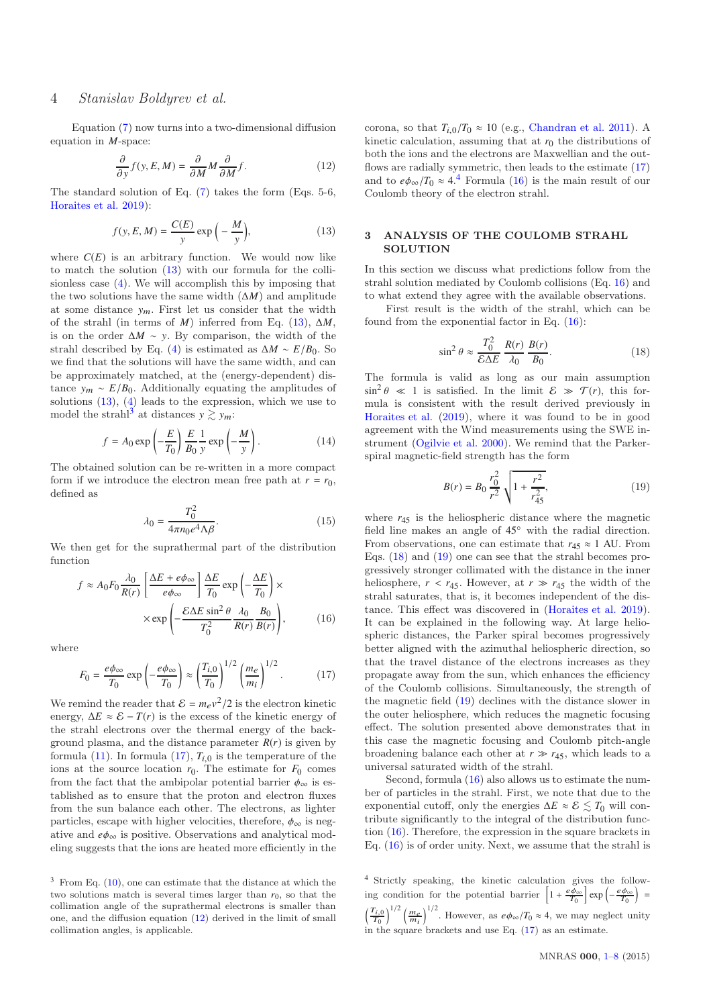## 4 Stanislav Boldyrev et al.

Equation [\(7\)](#page-2-3) now turns into a two-dimensional diffusion equation in *M*-space:

<span id="page-3-3"></span>
$$
\frac{\partial}{\partial y} f(y, E, M) = \frac{\partial}{\partial M} M \frac{\partial}{\partial M} f.
$$
 (12)

The standard solution of Eq. [\(7\)](#page-2-3) takes the form (Eqs. 5-6, [Horaites et al. 2019](#page-7-15)):

<span id="page-3-0"></span>
$$
f(y, E, M) = \frac{C(E)}{y} \exp\left(-\frac{M}{y}\right),\tag{13}
$$

where  $C(E)$  is an arbitrary function. We would now like to match the solution [\(13\)](#page-3-0) with our formula for the collisionless case [\(4\)](#page-1-3). We will accomplish this by imposing that the two solutions have the same width (∆*M*) and amplitude at some distance  $y_m$ . First let us consider that the width of the strahl (in terms of *M*) inferred from Eq. [\(13\)](#page-3-0),  $\Delta M$ , is on the order  $\Delta M \sim y$ . By comparison, the width of the strahl described by Eq. [\(4\)](#page-1-3) is estimated as  $\Delta M \sim E/B_0$ . So we find that the solutions will have the same width, and can be approximately matched, at the (energy-dependent) distance  $y_m \sim E/B_0$ . Additionally equating the amplitudes of solutions [\(13\)](#page-3-0), [\(4\)](#page-1-3) leads to the expression, which we use to model the strahl<sup>[3](#page-3-1)</sup> at distances  $y \gtrsim y_m$ :

$$
f = A_0 \exp\left(-\frac{E}{T_0}\right) \frac{E}{B_0} \frac{1}{y} \exp\left(-\frac{M}{y}\right). \tag{14}
$$

The obtained solution can be re-written in a more compact form if we introduce the electron mean free path at  $r = r_0$ , defined as

$$
\lambda_0 = \frac{T_0^2}{4\pi n_0 e^4 \Lambda \beta}.
$$
\n(15)

We then get for the suprathermal part of the distribution function

<span id="page-3-5"></span>
$$
f \approx A_0 F_0 \frac{\lambda_0}{R(r)} \left[ \frac{\Delta E + e\phi_{\infty}}{e\phi_{\infty}} \right] \frac{\Delta E}{T_0} \exp\left(-\frac{\Delta E}{T_0}\right) \times \times \exp\left(-\frac{\mathcal{E}\Delta E \sin^2 \theta}{T_0^2} \frac{\lambda_0}{R(r)} \frac{B_0}{B(r)}\right),\tag{16}
$$

where

<span id="page-3-2"></span>
$$
F_0 = \frac{e\phi_{\infty}}{T_0} \exp\left(-\frac{e\phi_{\infty}}{T_0}\right) \approx \left(\frac{T_{i,0}}{T_0}\right)^{1/2} \left(\frac{m_e}{m_i}\right)^{1/2}.
$$
 (17)

We remind the reader that  $\mathcal{E} = m_e v^2 / 2$  is the electron kinetic energy,  $\Delta E \approx \mathcal{E} - T(r)$  is the excess of the kinetic energy of the strahl electrons over the thermal energy of the background plasma, and the distance parameter  $R(r)$  is given by formula [\(11\)](#page-2-6). In formula [\(17\)](#page-3-2),  $T_{i,0}$  is the temperature of the ions at the source location  $r_0$ . The estimate for  $F_0$  comes from the fact that the ambipolar potential barrier  $\phi_{\infty}$  is established as to ensure that the proton and electron fluxes from the sun balance each other. The electrons, as lighter particles, escape with higher velocities, therefore,  $\phi_{\infty}$  is negative and  $e\phi_{\infty}$  is positive. Observations and analytical modeling suggests that the ions are heated more efficiently in the corona, so that  $T_{i,0}/T_0 \approx 10$  (e.g., [Chandran et al. 2011\)](#page-7-32). A kinetic calculation, assuming that at  $r_0$  the distributions of both the ions and the electrons are Maxwellian and the outflows are radially symmetric, then leads to the estimate [\(17\)](#page-3-2) and to  $e\phi_{\infty}/T_0 \approx 4.4$  $e\phi_{\infty}/T_0 \approx 4.4$  $e\phi_{\infty}/T_0 \approx 4.4$  Formula [\(16\)](#page-3-5) is the main result of our Coulomb theory of the electron strahl.

#### 3 ANALYSIS OF THE COULOMB STRAHL **SOLUTION**

In this section we discuss what predictions follow from the strahl solution mediated by Coulomb collisions (Eq. [16\)](#page-3-5) and to what extend they agree with the available observations.

First result is the width of the strahl, which can be found from the exponential factor in Eq. [\(16\)](#page-3-5):

<span id="page-3-6"></span>
$$
\sin^2 \theta \approx \frac{T_0^2}{\mathcal{E}\Delta E} \frac{R(r)}{\lambda_0} \frac{B(r)}{B_0}.
$$
 (18)

The formula is valid as long as our main assumption  $\sin^2 \theta \ll 1$  is satisfied. In the limit  $\mathcal{E} \gg \mathcal{T}(r)$ , this formula is consistent with the result derived previously in [Horaites et al.](#page-7-15) [\(2019\)](#page-7-15), where it was found to be in good agreement with the Wind measurements using the SWE instrument [\(Ogilvie et al. 2000](#page-7-12)). We remind that the Parkerspiral magnetic-field strength has the form

<span id="page-3-7"></span>
$$
B(r) = B_0 \frac{r_0^2}{r^2} \sqrt{1 + \frac{r^2}{r_{45}^2}},
$$
\n(19)

where  $r_{45}$  is the heliospheric distance where the magnetic field line makes an angle of  $45°$  with the radial direction. From observations, one can estimate that  $r_{45} \approx 1$  AU. From Eqs. [\(18\)](#page-3-6) and [\(19\)](#page-3-7) one can see that the strahl becomes progressively stronger collimated with the distance in the inner heliosphere,  $r < r_{45}$ . However, at  $r \gg r_{45}$  the width of the strahl saturates, that is, it becomes independent of the distance. This effect was discovered in [\(Horaites et al. 2019](#page-7-15)). It can be explained in the following way. At large heliospheric distances, the Parker spiral becomes progressively better aligned with the azimuthal heliospheric direction, so that the travel distance of the electrons increases as they propagate away from the sun, which enhances the efficiency of the Coulomb collisions. Simultaneously, the strength of the magnetic field [\(19\)](#page-3-7) declines with the distance slower in the outer heliosphere, which reduces the magnetic focusing effect. The solution presented above demonstrates that in this case the magnetic focusing and Coulomb pitch-angle broadening balance each other at  $r \gg r_{45}$ , which leads to a universal saturated width of the strahl.

Second, formula [\(16\)](#page-3-5) also allows us to estimate the number of particles in the strahl. First, we note that due to the exponential cutoff, only the energies  $\Delta E \approx \mathcal{E} \lesssim T_0$  will contribute significantly to the integral of the distribution function [\(16\)](#page-3-5). Therefore, the expression in the square brackets in Eq.  $(16)$  is of order unity. Next, we assume that the strahl is

<span id="page-3-4"></span><sup>4</sup> Strictly speaking, the kinetic calculation gives the following condition for the potential barrier  $\left[1 + \frac{e\phi_{\infty}}{T_0}\right] \exp\left(-\frac{e\phi_{\infty}}{T_0}\right)$  =  $\left(\frac{T_{i,0}}{T_0}\right)^{1/2} \left(\frac{m_e}{m_i}\right)^{1/2}$ . However, as  $e\phi_{\infty}/T_0 \approx 4$ , we may neglect unity in the square brackets and use Eq.  $(17)$  as an estimate.

<span id="page-3-1"></span> $3$  From Eq.  $(10)$ , one can estimate that the distance at which the two solutions match is several times larger than  $r_0$ , so that the collimation angle of the suprathermal electrons is smaller than one, and the diffusion equation [\(12\)](#page-3-3) derived in the limit of small collimation angles, is applicable.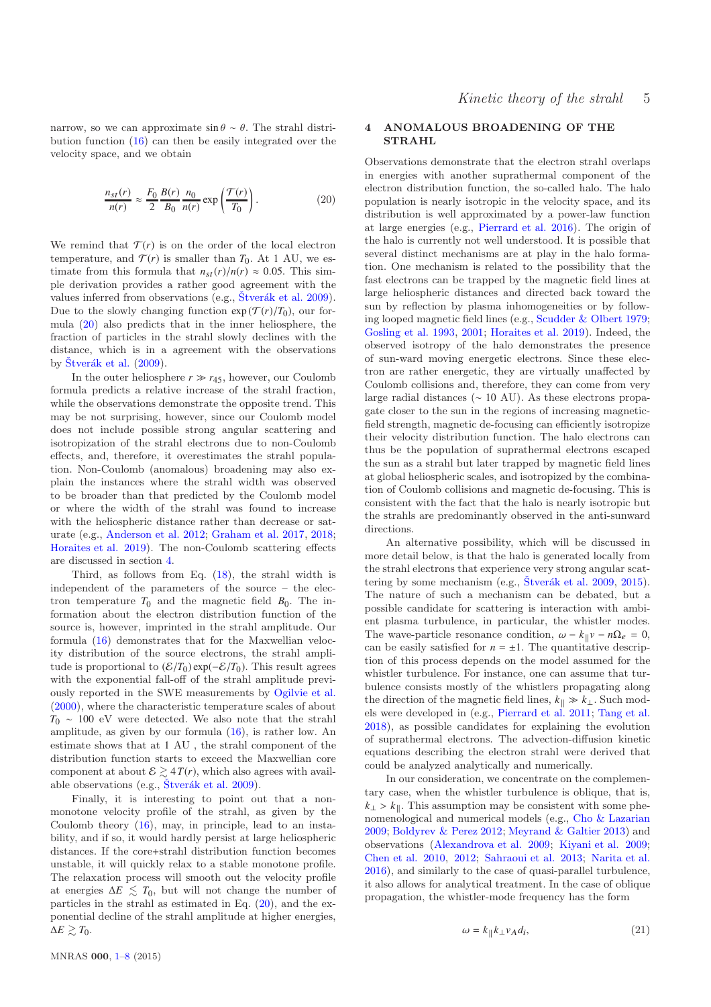narrow, so we can approximate  $\sin \theta \sim \theta$ . The strahl distribution function [\(16\)](#page-3-5) can then be easily integrated over the velocity space, and we obtain

<span id="page-4-0"></span>
$$
\frac{n_{st}(r)}{n(r)} \approx \frac{F_0}{2} \frac{B(r)}{B_0} \frac{n_0}{n(r)} \exp\left(\frac{\mathcal{T}(r)}{T_0}\right). \tag{20}
$$

We remind that  $\mathcal{T}(r)$  is on the order of the local electron temperature, and  $\mathcal{T}(r)$  is smaller than  $T_0$ . At 1 AU, we estimate from this formula that  $n_{st}(r)/n(r) \approx 0.05$ . This simple derivation provides a rather good agreement with the values inferred from observations (e.g.,  $\text{Stverak}$  et al. 2009). Due to the slowly changing function  $\exp(\mathcal{T}(r)/T_0)$ , our formula [\(20\)](#page-4-0) also predicts that in the inner heliosphere, the fraction of particles in the strahl slowly declines with the distance, which is in a agreement with the observations by Štverák et al.  $(2009)$ .

In the outer heliosphere  $r \gg r_{45}$ , however, our Coulomb formula predicts a relative increase of the strahl fraction, while the observations demonstrate the opposite trend. This may be not surprising, however, since our Coulomb model does not include possible strong angular scattering and isotropization of the strahl electrons due to non-Coulomb effects, and, therefore, it overestimates the strahl population. Non-Coulomb (anomalous) broadening may also explain the instances where the strahl width was observed to be broader than that predicted by the Coulomb model or where the width of the strahl was found to increase with the heliospheric distance rather than decrease or saturate (e.g., [Anderson et al. 2012;](#page-6-2) [Graham et al. 2017,](#page-7-16) [2018;](#page-7-17) [Horaites et al. 2019](#page-7-15)). The non-Coulomb scattering effects are discussed in section [4.](#page-4-1)

Third, as follows from Eq. [\(18\)](#page-3-6), the strahl width is independent of the parameters of the source – the electron temperature  $T_0$  and the magnetic field  $B_0$ . The information about the electron distribution function of the source is, however, imprinted in the strahl amplitude. Our formula [\(16\)](#page-3-5) demonstrates that for the Maxwellian velocity distribution of the source electrons, the strahl amplitude is proportional to  $(\mathcal{E}/T_0) \exp(-\mathcal{E}/T_0)$ . This result agrees with the exponential fall-off of the strahl amplitude previously reported in the SWE measurements by [Ogilvie et al.](#page-7-12) [\(2000](#page-7-12)), where the characteristic temperature scales of about  $T_0 \sim 100$  eV were detected. We also note that the strahl amplitude, as given by our formula [\(16\)](#page-3-5), is rather low. An estimate shows that at 1 AU , the strahl component of the distribution function starts to exceed the Maxwellian core component at about  $\mathcal{E} \gtrsim 4T(r)$ , which also agrees with available observations (e.g.,  $\text{Stverák}$  et al. 2009).

Finally, it is interesting to point out that a nonmonotone velocity profile of the strahl, as given by the Coulomb theory [\(16\)](#page-3-5), may, in principle, lead to an instability, and if so, it would hardly persist at large heliospheric distances. If the core+strahl distribution function becomes unstable, it will quickly relax to a stable monotone profile. The relaxation process will smooth out the velocity profile at energies  $\Delta E \leq T_0$ , but will not change the number of particles in the strahl as estimated in Eq. [\(20\)](#page-4-0), and the exponential decline of the strahl amplitude at higher energies,  $ΔE$   $\gtrsim$   $T_0$ .

#### <span id="page-4-1"></span>4 ANOMALOUS BROADENING OF THE **STRAHL**

Observations demonstrate that the electron strahl overlaps in energies with another suprathermal component of the electron distribution function, the so-called halo. The halo population is nearly isotropic in the velocity space, and its distribution is well approximated by a power-law function at large energies (e.g., [Pierrard et al. 2016\)](#page-7-7). The origin of the halo is currently not well understood. It is possible that several distinct mechanisms are at play in the halo formation. One mechanism is related to the possibility that the fast electrons can be trapped by the magnetic field lines at large heliospheric distances and directed back toward the sun by reflection by plasma inhomogeneities or by following looped magnetic field lines (e.g., [Scudder & Olbert 1979;](#page-7-33) [Gosling et al. 1993](#page-7-34), [2001;](#page-7-35) [Horaites et al. 2019](#page-7-15)). Indeed, the observed isotropy of the halo demonstrates the presence of sun-ward moving energetic electrons. Since these electron are rather energetic, they are virtually unaffected by Coulomb collisions and, therefore, they can come from very large radial distances (∼ 10 AU). As these electrons propagate closer to the sun in the regions of increasing magneticfield strength, magnetic de-focusing can efficiently isotropize their velocity distribution function. The halo electrons can thus be the population of suprathermal electrons escaped the sun as a strahl but later trapped by magnetic field lines at global heliospheric scales, and isotropized by the combination of Coulomb collisions and magnetic de-focusing. This is consistent with the fact that the halo is nearly isotropic but the strahls are predominantly observed in the anti-sunward directions.

An alternative possibility, which will be discussed in more detail below, is that the halo is generated locally from the strahl electrons that experience very strong angular scattering by some mechanism (e.g.,  $\text{Stverák et al. 2009, 2015}.$  $\text{Stverák et al. 2009, 2015}.$  $\text{Stverák et al. 2009, 2015}.$ The nature of such a mechanism can be debated, but a possible candidate for scattering is interaction with ambient plasma turbulence, in particular, the whistler modes. The wave-particle resonance condition,  $\omega - k_{\parallel} v - n\Omega_e = 0$ , can be easily satisfied for  $n = \pm 1$ . The quantitative description of this process depends on the model assumed for the whistler turbulence. For instance, one can assume that turbulence consists mostly of the whistlers propagating along the direction of the magnetic field lines,  $k_{\parallel} \gg k_{\perp}$ . Such models were developed in (e.g., [Pierrard et al. 2011;](#page-7-24) [Tang et al.](#page-7-29) [2018](#page-7-29)), as possible candidates for explaining the evolution of suprathermal electrons. The advection-diffusion kinetic equations describing the electron strahl were derived that could be analyzed analytically and numerically.

In our consideration, we concentrate on the complementary case, when the whistler turbulence is oblique, that is,  $k_{\perp} > k_{\parallel}$ . This assumption may be consistent with some phenomenological and numerical models (e.g., [Cho & Lazarian](#page-7-36) [2009](#page-7-36); [Boldyrev & Perez 2012](#page-6-4); [Meyrand & Galtier 2013](#page-7-37)) and observations [\(Alexandrova et al. 2009](#page-6-5); [Kiyani et al. 2009;](#page-7-38) [Chen et al. 2010,](#page-7-39) [2012](#page-7-40); [Sahraoui et al. 2013](#page-7-41); [Narita et al.](#page-7-42) [2016](#page-7-42)), and similarly to the case of quasi-parallel turbulence, it also allows for analytical treatment. In the case of oblique propagation, the whistler-mode frequency has the form

<span id="page-4-2"></span>
$$
\omega = k_{\parallel} k_{\perp} v_A d_i, \qquad (21)
$$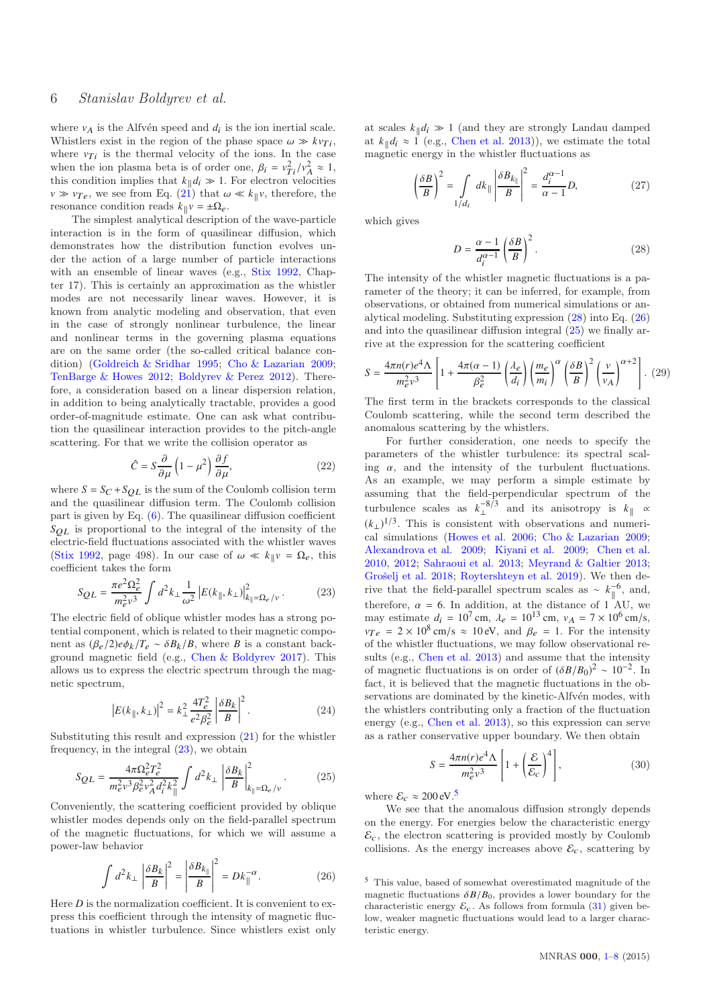where  $v_A$  is the Alfvén speed and  $d_i$  is the ion inertial scale. Whistlers exist in the region of the phase space  $\omega \gg k v \overline{\tau_i}$ , where  $v_{Ti}$  is the thermal velocity of the ions. In the case when the ion plasma beta is of order one,  $\beta_i = v_{Ti}^2/v_A^2 \approx 1$ , this condition implies that  $k_{\parallel} d_i \gg 1$ . For electron velocities  $v \gg v_{Te}$ , we see from Eq. [\(21\)](#page-4-2) that  $\omega \ll k_{\parallel} v$ , therefore, the resonance condition reads  $k_{\parallel} v = \pm \Omega_e$ .

The simplest analytical description of the wave-particle interaction is in the form of quasilinear diffusion, which demonstrates how the distribution function evolves under the action of a large number of particle interactions with an ensemble of linear waves (e.g., [Stix 1992](#page-7-43), Chapter 17). This is certainly an approximation as the whistler modes are not necessarily linear waves. However, it is known from analytic modeling and observation, that even in the case of strongly nonlinear turbulence, the linear and nonlinear terms in the governing plasma equations are on the same order (the so-called critical balance condition) [\(Goldreich & Sridhar 1995](#page-7-44); [Cho & Lazarian 2009;](#page-7-36) [TenBarge & Howes 2012](#page-7-45); [Boldyrev & Perez 2012\)](#page-6-4). Therefore, a consideration based on a linear dispersion relation, in addition to being analytically tractable, provides a good order-of-magnitude estimate. One can ask what contribution the quasilinear interaction provides to the pitch-angle scattering. For that we write the collision operator as

<span id="page-5-5"></span>
$$
\hat{C} = S \frac{\partial}{\partial \mu} \left( 1 - \mu^2 \right) \frac{\partial f}{\partial \mu},\tag{22}
$$

where  $S = S_C + S_{QL}$  is the sum of the Coulomb collision term and the quasilinear diffusion term. The Coulomb collision part is given by Eq. [\(6\)](#page-2-2). The quasilinear diffusion coefficient *S<sub>QL</sub>* is proportional to the integral of the intensity of the electric-field fluctuations associated with the whistler waves [\(Stix 1992](#page-7-43), page 498). In our case of  $\omega \ll k_{\parallel} v = \Omega_e$ , this coefficient takes the form

<span id="page-5-0"></span>
$$
S_{QL} = \frac{\pi e^2 \Omega_e^2}{m_e^2 v^3} \int d^2 k_{\perp} \frac{1}{\omega^2} \left| E(k_{\parallel}, k_{\perp}) \right|_{k_{\parallel} = \Omega_e/v}^2.
$$
 (23)

The electric field of oblique whistler modes has a strong potential component, which is related to their magnetic component as  $(\beta_e/2)e\phi_k/T_e \sim \delta B_k/B$ , where *B* is a constant background magnetic field (e.g., [Chen & Boldyrev 2017\)](#page-7-46). This allows us to express the electric spectrum through the magnetic spectrum,

$$
\left| E(k_{\parallel}, k_{\perp}) \right|^2 = k_{\perp}^2 \frac{4T_e^2}{e^2 \beta_e^2} \left| \frac{\delta B_k}{B} \right|^2.
$$
 (24)

Substituting this result and expression [\(21\)](#page-4-2) for the whistler frequency, in the integral  $(23)$ , we obtain

<span id="page-5-3"></span>
$$
S_{QL} = \frac{4\pi\Omega_e^2 T_e^2}{m_e^2 v^3 \beta_e^2 v_A^2 d_i^2 k_{\parallel}^2} \int d^2 k_{\perp} \left| \frac{\delta B_k}{B} \right|_{k_{\parallel} = \Omega_e/v}^2.
$$
 (25)

Conveniently, the scattering coefficient provided by oblique whistler modes depends only on the field-parallel spectrum of the magnetic fluctuations, for which we will assume a power-law behavior

<span id="page-5-2"></span>
$$
\int d^2 k_{\perp} \left| \frac{\delta B_k}{B} \right|^2 = \left| \frac{\delta B_{k_{\parallel}}}{B} \right|^2 = D k_{\parallel}^{-\alpha}.
$$
 (26)

Here *D* is the normalization coefficient. It is convenient to express this coefficient through the intensity of magnetic fluctuations in whistler turbulence. Since whistlers exist only at scales  $k_{\parallel} d_i \gg 1$  (and they are strongly Landau damped at  $k_{\parallel}d_i \approx 1$  (e.g., [Chen et al. 2013](#page-7-47))), we estimate the total magnetic energy in the whistler fluctuations as

$$
\left(\frac{\delta B}{B}\right)^2 = \int\limits_{1/d_i} dk_{\parallel} \left|\frac{\delta B_{k_{\parallel}}}{B}\right|^2 = \frac{d_i^{\alpha - 1}}{\alpha - 1}D,\tag{27}
$$

which gives

<span id="page-5-1"></span>
$$
D = \frac{\alpha - 1}{d_i^{\alpha - 1}} \left(\frac{\delta B}{B}\right)^2.
$$
 (28)

The intensity of the whistler magnetic fluctuations is a parameter of the theory; it can be inferred, for example, from observations, or obtained from numerical simulations or analytical modeling. Substituting expression [\(28\)](#page-5-1) into Eq. [\(26\)](#page-5-2) and into the quasilinear diffusion integral [\(25\)](#page-5-3) we finally arrive at the expression for the scattering coefficient

<span id="page-5-6"></span>
$$
S = \frac{4\pi n(r)e^4\Lambda}{m_e^2 v^3} \left[ 1 + \frac{4\pi(\alpha - 1)}{\beta_e^2} \left( \frac{\lambda_e}{d_i} \right) \left( \frac{m_e}{m_i} \right)^\alpha \left( \frac{\delta B}{B} \right)^2 \left( \frac{v}{v_A} \right)^{\alpha + 2} \right].
$$
 (29)

The first term in the brackets corresponds to the classical Coulomb scattering, while the second term described the anomalous scattering by the whistlers.

For further consideration, one needs to specify the parameters of the whistler turbulence: its spectral scaling  $\alpha$ , and the intensity of the turbulent fluctuations. As an example, we may perform a simple estimate by assuming that the field-perpendicular spectrum of the turbulence scales as  $k_{\perp}^{-8/3}$  and its anisotropy is  $k_{\parallel} \propto$  $(k<sub>⊥</sub>)<sup>1/3</sup>$ . This is consistent with observations and numerical simulations [\(Howes et al. 2006;](#page-7-48) [Cho & Lazarian 2009;](#page-7-36) [Alexandrova et al. 2009](#page-6-5); [Kiyani et al. 2009;](#page-7-38) [Chen et al.](#page-7-39) [2010](#page-7-39), [2012](#page-7-40); [Sahraoui et al. 2013;](#page-7-41) [Meyrand & Galtier 2013;](#page-7-37) Grošelj et al. 2018; [Roytershteyn et al. 2019](#page-7-50)). We then derive that the field-parallel spectrum scales as ~  $k_{\parallel}^{-6}$ , and, therefore,  $\alpha = 6$ . In addition, at the distance of 1<sup>"</sup>AU, we may estimate  $d_i = 10^7$  cm,  $\lambda_e = 10^{13}$  cm,  $v_A = 7 \times 10^6$  cm/s,  $v_{Te} = 2 \times 10^8 \text{ cm/s} \approx 10 \text{ eV}$ , and  $\beta_e = 1$ . For the intensity of the whistler fluctuations, we may follow observational re-sults (e.g., [Chen et al. 2013](#page-7-47)) and assume that the intensity of magnetic fluctuations is on order of  $(\delta B/B_0)^2 \sim 10^{-2}$ . In fact, it is believed that the magnetic fluctuations in the observations are dominated by the kinetic-Alfvén modes, with the whistlers contributing only a fraction of the fluctuation energy (e.g., [Chen et al. 2013\)](#page-7-47), so this expression can serve as a rather conservative upper boundary. We then obtain

$$
S = \frac{4\pi n(r)e^4\Lambda}{m_e^2 v^3} \left[1 + \left(\frac{\mathcal{E}}{\mathcal{E}_c}\right)^4\right],\tag{30}
$$

where  $\mathcal{E}_c \approx 200 \,\text{eV}^{\,5}$  $\mathcal{E}_c \approx 200 \,\text{eV}^{\,5}$  $\mathcal{E}_c \approx 200 \,\text{eV}^{\,5}$ 

We see that the anomalous diffusion strongly depends on the energy. For energies below the characteristic energy  $\mathcal{E}_c$ , the electron scattering is provided mostly by Coulomb collisions. As the energy increases above  $\mathcal{E}_c$ , scattering by

<span id="page-5-4"></span><sup>5</sup> This value, based of somewhat overestimated magnitude of the magnetic fluctuations  $\delta B/B_0$ , provides a lower boundary for the characteristic energy  $\mathcal{E}_c$ . As follows from formula [\(31\)](#page-6-6) given below, weaker magnetic fluctuations would lead to a larger characteristic energy.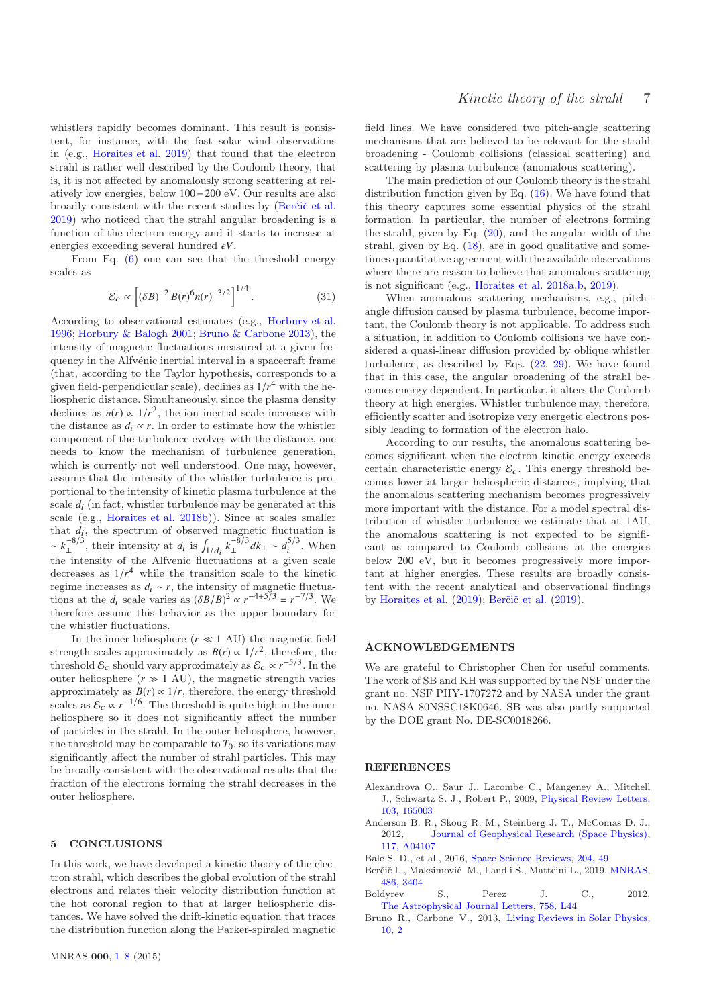whistlers rapidly becomes dominant. This result is consistent, for instance, with the fast solar wind observations in (e.g., [Horaites et al. 2019\)](#page-7-15) that found that the electron strahl is rather well described by the Coulomb theory, that is, it is not affected by anomalously strong scattering at relatively low energies, below 100−200 eV. Our results are also broadly consistent with the recent studies by (Berčič et al. [2019](#page-6-3)) who noticed that the strahl angular broadening is a function of the electron energy and it starts to increase at energies exceeding several hundred *eV*.

From Eq. [\(6\)](#page-2-2) one can see that the threshold energy scales as

<span id="page-6-6"></span>
$$
\mathcal{E}_c \propto \left[ (\delta B)^{-2} B(r)^6 n(r)^{-3/2} \right]^{1/4}.
$$
 (31)

According to observational estimates (e.g., [Horbury et al.](#page-7-51) [1996](#page-7-51); [Horbury & Balogh 2001](#page-7-52); [Bruno & Carbone 2013\)](#page-6-7), the intensity of magnetic fluctuations measured at a given frequency in the Alfvénic inertial interval in a spacecraft frame (that, according to the Taylor hypothesis, corresponds to a given field-perpendicular scale), declines as  $1/r^4$  with the heliospheric distance. Simultaneously, since the plasma density declines as  $n(r) \propto 1/r^2$ , the ion inertial scale increases with the distance as  $d_i \propto r$ . In order to estimate how the whistler component of the turbulence evolves with the distance, one needs to know the mechanism of turbulence generation, which is currently not well understood. One may, however, assume that the intensity of the whistler turbulence is proportional to the intensity of kinetic plasma turbulence at the scale  $d_i$  (in fact, whistler turbulence may be generated at this scale (e.g., [Horaites et al. 2018b](#page-7-11))). Since at scales smaller that  $d_i$ , the spectrum of observed magnetic fluctuation is ∼  $k_{\perp}^{-8/3}$ , their intensity at *d<sub>i</sub>* is  $\int_{1/d_i} k_{\perp}^{-8/3} dk_{\perp} \sim d_i^{5/3}$  $i^{(3)}$ . When the intensity of the Alfvenic fluctuations at a given scale decreases as  $1/r^4$  while the transition scale to the kinetic regime increases as  $d_i \sim r$ , the intensity of magnetic fluctuations at the *d<sub>i</sub>* scale varies as  $(\delta B/B)^2 \propto r^{-4+5/3} = r^{-7/3}$ . We therefore assume this behavior as the upper boundary for the whistler fluctuations.

In the inner heliosphere  $(r \ll 1 \text{ AU})$  the magnetic field strength scales approximately as  $B(r) \propto 1/r^2$ , therefore, the threshold  $\mathcal{E}_c$  should vary approximately as  $\mathcal{E}_c \propto r^{-5/3}$ . In the outer heliosphere  $(r \gg 1 \text{ AU})$ , the magnetic strength varies approximately as  $B(r) \propto 1/r$ , therefore, the energy threshold scales as  $\mathcal{E}_c \propto r^{-1/6}$ . The threshold is quite high in the inner heliosphere so it does not significantly affect the number of particles in the strahl. In the outer heliosphere, however, the threshold may be comparable to  $T_0$ , so its variations may significantly affect the number of strahl particles. This may be broadly consistent with the observational results that the fraction of the electrons forming the strahl decreases in the outer heliosphere.

#### <span id="page-6-0"></span>5 CONCLUSIONS

In this work, we have developed a kinetic theory of the electron strahl, which describes the global evolution of the strahl electrons and relates their velocity distribution function at the hot coronal region to that at larger heliospheric distances. We have solved the drift-kinetic equation that traces the distribution function along the Parker-spiraled magnetic field lines. We have considered two pitch-angle scattering mechanisms that are believed to be relevant for the strahl broadening - Coulomb collisions (classical scattering) and scattering by plasma turbulence (anomalous scattering).

The main prediction of our Coulomb theory is the strahl distribution function given by Eq. [\(16\)](#page-3-5). We have found that this theory captures some essential physics of the strahl formation. In particular, the number of electrons forming the strahl, given by Eq. [\(20\)](#page-4-0), and the angular width of the strahl, given by Eq. [\(18\)](#page-3-6), are in good qualitative and sometimes quantitative agreement with the available observations where there are reason to believe that anomalous scattering is not significant (e.g., [Horaites et al. 2018a](#page-7-10)[,b](#page-7-11), [2019](#page-7-15)).

When anomalous scattering mechanisms, e.g., pitchangle diffusion caused by plasma turbulence, become important, the Coulomb theory is not applicable. To address such a situation, in addition to Coulomb collisions we have considered a quasi-linear diffusion provided by oblique whistler turbulence, as described by Eqs.  $(22, 29)$  $(22, 29)$ . We have found that in this case, the angular broadening of the strahl becomes energy dependent. In particular, it alters the Coulomb theory at high energies. Whistler turbulence may, therefore, efficiently scatter and isotropize very energetic electrons possibly leading to formation of the electron halo.

According to our results, the anomalous scattering becomes significant when the electron kinetic energy exceeds certain characteristic energy  $\mathcal{E}_c$ . This energy threshold becomes lower at larger heliospheric distances, implying that the anomalous scattering mechanism becomes progressively more important with the distance. For a model spectral distribution of whistler turbulence we estimate that at 1AU, the anomalous scattering is not expected to be significant as compared to Coulomb collisions at the energies below 200 eV, but it becomes progressively more important at higher energies. These results are broadly consistent with the recent analytical and observational findings by [Horaites et al.](#page-7-15) [\(2019](#page-7-15)); Berčič et al. [\(2019\)](#page-6-3).

#### ACKNOWLEDGEMENTS

We are grateful to Christopher Chen for useful comments. The work of SB and KH was supported by the NSF under the grant no. NSF PHY-1707272 and by NASA under the grant no. NASA 80NSSC18K0646. SB was also partly supported by the DOE grant No. DE-SC0018266.

#### **REFERENCES**

- <span id="page-6-5"></span>Alexandrova O., Saur J., Lacombe C., Mangeney A., Mitchell J., Schwartz S. J., Robert P., 2009, [Physical Review Letters,](http://dx.doi.org/10.1103/PhysRevLett.103.165003) [103, 165003](http://adsabs.harvard.edu/abs/2009PhRvL.103p5003A)
- <span id="page-6-2"></span>Anderson B. R., Skoug R. M., Steinberg J. T., McComas D. J., 2012, [Journal of Geophysical Research \(Space Physics\),](http://dx.doi.org/10.1029/2011JA017269) [117, A04107](http://adsabs.harvard.edu/abs/2012JGRA..117.4107A)
- <span id="page-6-1"></span>Bale S. D., et al., 2016, [Space Science Reviews,](http://dx.doi.org/10.1007/s11214-016-0244-5) [204, 49](http://adsabs.harvard.edu/abs/2016SSRv..204...49B)
- <span id="page-6-3"></span>Berčič L., Maksimović M., Land i S., Matteini L., 2019, [MNRAS,](http://dx.doi.org/10.1093/mnras/stz1007) [486, 3404](https://ui.adsabs.harvard.edu/abs/2019MNRAS.486.3404B)
- <span id="page-6-4"></span>Boldyrev S., Perez J. C., 2012, [The Astrophysical Journal Letters,](http://dx.doi.org/10.1088/2041-8205/758/2/L44) [758, L44](http://adsabs.harvard.edu/abs/2012ApJ...758L..44B)
- <span id="page-6-7"></span>Bruno R., Carbone V., 2013, [Living Reviews in Solar Physics,](http://dx.doi.org/10.12942/lrsp-2013-2) [10, 2](http://adsabs.harvard.edu/abs/2013LRSP...10....2B)